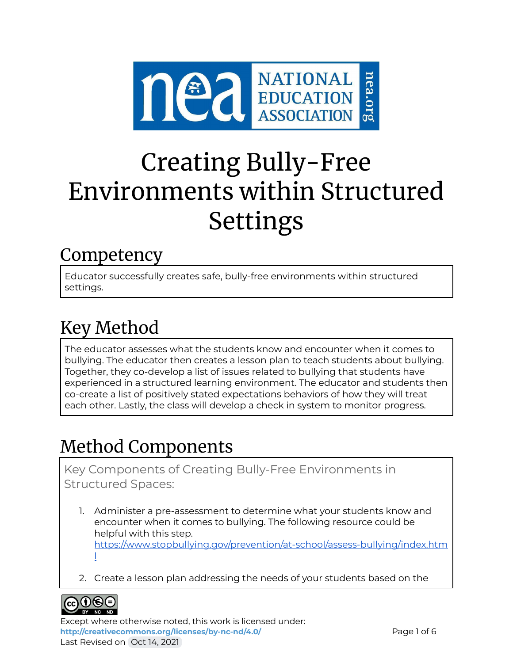

# Creating Bully-Free Environments within Structured Settings

### **Competency**

Educator successfully creates safe, bully-free environments within structured settings.

# Key Method

The educator assesses what the students know and encounter when it comes to bullying. The educator then creates a lesson plan to teach students about bullying. Together, they co-develop a list of issues related to bullying that students have experienced in a structured learning environment. The educator and students then co-create a list of positively stated expectations behaviors of how they will treat each other. Lastly, the class will develop a check in system to monitor progress.

# Method Components

Key Components of Creating Bully-Free Environments in Structured Spaces:

- 1. Administer a pre-assessment to determine what your students know and encounter when it comes to bullying. The following resource could be helpful with this step. [https://www.stopbullying.gov/prevention/at-school/assess-bullying/index.htm](https://www.stopbullying.gov/prevention/at-school/assess-bullying/index.html) [l](https://www.stopbullying.gov/prevention/at-school/assess-bullying/index.html)
- 2. Create a lesson plan addressing the needs of your students based on the



Except where otherwise noted, this work is licensed under: <http://creativecommons.org/licenses/by-nc-nd/4.0/> **Page 1 of 6** Last Revised on Oct 14, 2021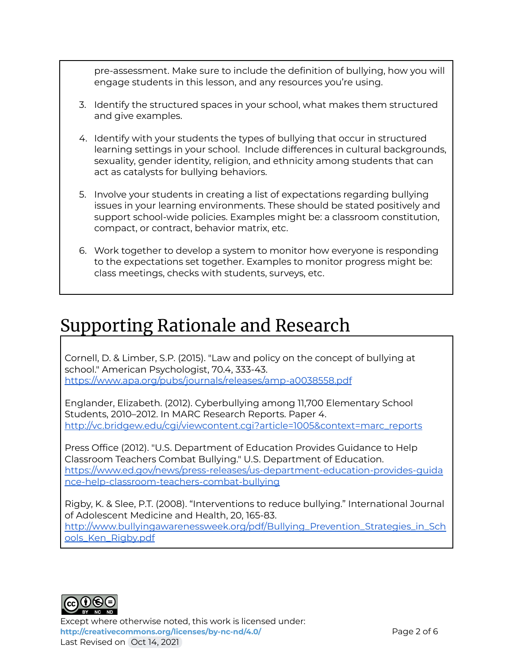pre-assessment. Make sure to include the definition of bullying, how you will engage students in this lesson, and any resources you're using.

- 3. Identify the structured spaces in your school, what makes them structured and give examples.
- 4. Identify with your students the types of bullying that occur in structured learning settings in your school. Include differences in cultural backgrounds, sexuality, gender identity, religion, and ethnicity among students that can act as catalysts for bullying behaviors.
- 5. Involve your students in creating a list of expectations regarding bullying issues in your learning environments. These should be stated positively and support school-wide policies. Examples might be: a classroom constitution, compact, or contract, behavior matrix, etc.
- 6. Work together to develop a system to monitor how everyone is responding to the expectations set together. Examples to monitor progress might be: class meetings, checks with students, surveys, etc.

### Supporting Rationale and Research

Cornell, D. & Limber, S.P. (2015). "Law and policy on the concept of bullying at school." American Psychologist, 70.4, 333-43. <https://www.apa.org/pubs/journals/releases/amp-a0038558.pdf>

Englander, Elizabeth. (2012). Cyberbullying among 11,700 Elementary School Students, 2010–2012. In MARC Research Reports. Paper 4. [http://vc.bridgew.edu/cgi/viewcontent.cgi?article=1005&context=marc\\_reports](http://vc.bridgew.edu/cgi/viewcontent.cgi?article=1005&context=marc_reports)

Press Office (2012). "U.S. Department of Education Provides Guidance to Help Classroom Teachers Combat Bullying." U.S. Department of Education. [https://www.ed.gov/news/press-releases/us-department-education-provides-guida](https://www.ed.gov/news/press-releases/us-department-education-provides-guidance-help-classroom-teachers-combat-bullying) [nce-help-classroom-teachers-combat-bullying](https://www.ed.gov/news/press-releases/us-department-education-provides-guidance-help-classroom-teachers-combat-bullying)

Rigby, K. & Slee, P.T. (2008). "Interventions to reduce bullying." International Journal of Adolescent Medicine and Health, 20, 165-83. [http://www.bullyingawarenessweek.org/pdf/Bullying\\_Prevention\\_Strategies\\_in\\_Sch](http://www.bullyingawarenessweek.org/pdf/Bullying_Prevention_Strategies_in_Schools_Ken_Rigby.pdf) [ools\\_Ken\\_Rigby.pdf](http://www.bullyingawarenessweek.org/pdf/Bullying_Prevention_Strategies_in_Schools_Ken_Rigby.pdf)



Except where otherwise noted, this work is licensed under: **<http://creativecommons.org/licenses/by-nc-nd/4.0/>** Page 2 of 6 Last Revised on Oct 14, 2021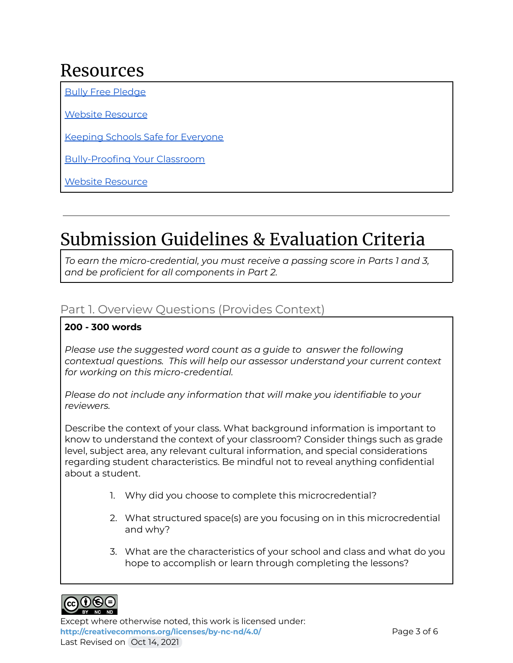### Resources

Bully Free [Pledge](https://neaedjustice.org/facing-hate-and-bias/)

Website [Resource](http://www.bullyfree.com/free-resources)

Keeping Schools Safe for [Everyone](http://www.brighthubeducation.com/classroom-management/128030-how-to-keep-schools-safe-for-everyone/)

[Bully-Proofing](http://www.educationworld.com/a_curr/shore/shore070.shtml) Your Classroom

Website [Resource](https://www.stopbullying.gov)

## Submission Guidelines & Evaluation Criteria

*To earn the micro-credential, you must receive a passing score in Parts 1 and 3, and be proficient for all components in Part 2.*

#### Part 1. Overview Questions (Provides Context)

#### **200 - 300 words**

*Please use the suggested word count as a guide to answer the following contextual questions. This will help our assessor understand your current context for working on this micro-credential.*

*Please do not include any information that will make you identifiable to your reviewers.*

Describe the context of your class. What background information is important to know to understand the context of your classroom? Consider things such as grade level, subject area, any relevant cultural information, and special considerations regarding student characteristics. Be mindful not to reveal anything confidential about a student.

- 1. Why did you choose to complete this microcredential?
- 2. What structured space(s) are you focusing on in this microcredential and why?
- 3. What are the characteristics of your school and class and what do you hope to accomplish or learn through completing the lessons?



Except where otherwise noted, this work is licensed under: <http://creativecommons.org/licenses/by-nc-nd/4.0/> **Page 3 of 6** Last Revised on Oct 14, 2021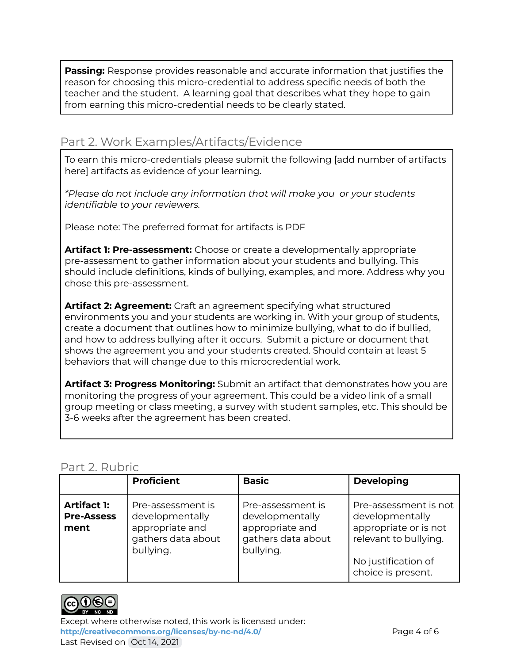**Passing:** Response provides reasonable and accurate information that justifies the reason for choosing this micro-credential to address specific needs of both the teacher and the student. A learning goal that describes what they hope to gain from earning this micro-credential needs to be clearly stated.

#### Part 2. Work Examples/Artifacts/Evidence

To earn this micro-credentials please submit the following [add number of artifacts here] artifacts as evidence of your learning.

*\*Please do not include any information that will make you or your students identifiable to your reviewers.*

Please note: The preferred format for artifacts is PDF

**Artifact 1: Pre-assessment:** Choose or create a developmentally appropriate pre-assessment to gather information about your students and bullying. This should include definitions, kinds of bullying, examples, and more. Address why you chose this pre-assessment.

**Artifact 2: Agreement:** Craft an agreement specifying what structured environments you and your students are working in. With your group of students, create a document that outlines how to minimize bullying, what to do if bullied, and how to address bullying after it occurs. Submit a picture or document that shows the agreement you and your students created. Should contain at least 5 behaviors that will change due to this microcredential work.

**Artifact 3: Progress Monitoring:** Submit an artifact that demonstrates how you are monitoring the progress of your agreement. This could be a video link of a small group meeting or class meeting, a survey with student samples, etc. This should be 3-6 weeks after the agreement has been created.

#### Part 2. Rubric

|                                                 | <b>Proficient</b>                                                                          | <b>Basic</b>                                                                               | <b>Developing</b>                                                                                                                       |
|-------------------------------------------------|--------------------------------------------------------------------------------------------|--------------------------------------------------------------------------------------------|-----------------------------------------------------------------------------------------------------------------------------------------|
| <b>Artifact 1:</b><br><b>Pre-Assess</b><br>ment | Pre-assessment is<br>developmentally<br>appropriate and<br>gathers data about<br>bullying. | Pre-assessment is<br>developmentally<br>appropriate and<br>gathers data about<br>bullying. | Pre-assessment is not<br>developmentally<br>appropriate or is not<br>relevant to bullying.<br>No justification of<br>choice is present. |



Except where otherwise noted, this work is licensed under: <http://creativecommons.org/licenses/by-nc-nd/4.0/><br>
Page 4 of 6 Last Revised on Oct 14, 2021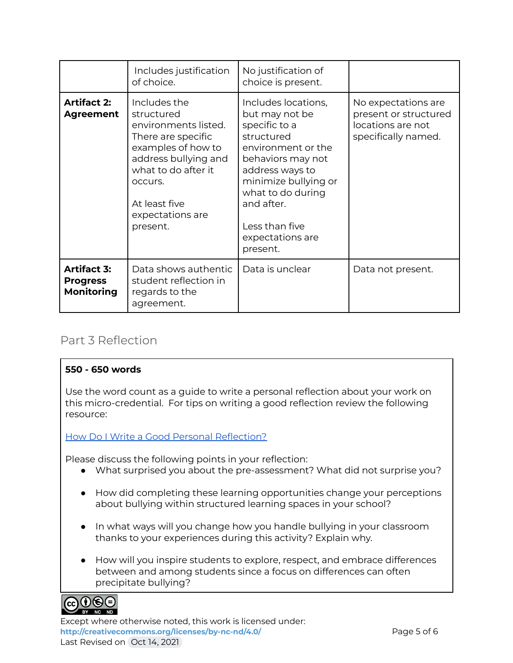|                                                            | Includes justification<br>of choice.                                                                                                                                                                      | No justification of<br>choice is present.                                                                                                                                                                                                       |                                                                                          |
|------------------------------------------------------------|-----------------------------------------------------------------------------------------------------------------------------------------------------------------------------------------------------------|-------------------------------------------------------------------------------------------------------------------------------------------------------------------------------------------------------------------------------------------------|------------------------------------------------------------------------------------------|
| <b>Artifact 2:</b><br><b>Agreement</b>                     | Includes the<br>structured<br>environments listed.<br>There are specific<br>examples of how to<br>address bullying and<br>what to do after it<br>occurs.<br>At least five<br>expectations are<br>present. | Includes locations,<br>but may not be<br>specific to a<br>structured<br>environment or the<br>behaviors may not<br>address ways to<br>minimize bullying or<br>what to do during<br>and after.<br>Less than five<br>expectations are<br>present. | No expectations are<br>present or structured<br>locations are not<br>specifically named. |
| <b>Artifact 3:</b><br><b>Progress</b><br><b>Monitoring</b> | Data shows authentic<br>student reflection in<br>regards to the<br>agreement.                                                                                                                             | Data is unclear                                                                                                                                                                                                                                 | Data not present.                                                                        |

#### Part 3 Reflection

#### **550 - 650 words**

Use the word count as a guide to write a personal reflection about your work on this micro-credential. For tips on writing a good reflection review the following resource:

#### How Do I Write a Good Personal [Reflection?](https://isthismystory.com/learning/how-do-i-write-a-good-personal-reflection/)

Please discuss the following points in your reflection:

- What surprised you about the pre-assessment? What did not surprise you?
- How did completing these learning opportunities change your perceptions about bullying within structured learning spaces in your school?
- In what ways will you change how you handle bullying in your classroom thanks to your experiences during this activity? Explain why.
- How will you inspire students to explore, respect, and embrace differences between and among students since a focus on differences can often precipitate bullying?



Except where otherwise noted, this work is licensed under: <http://creativecommons.org/licenses/by-nc-nd/4.0/><br>
Page 5 of 6 Last Revised on Oct 14, 2021